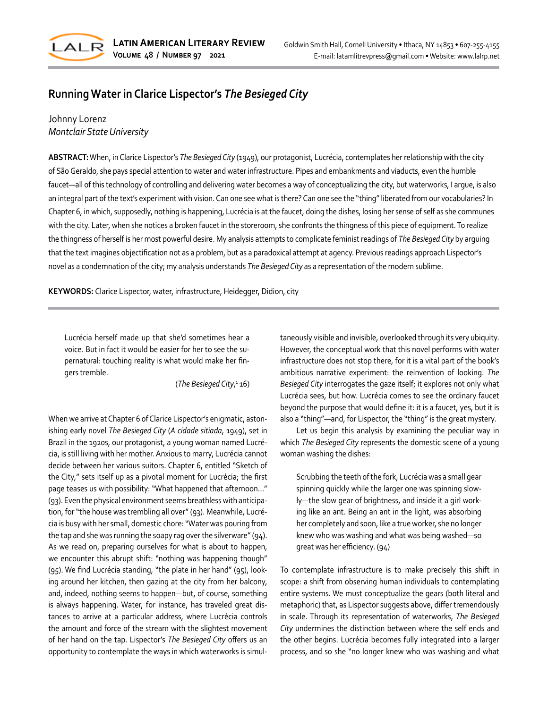

## **Running Water in Clarice Lispector's** *The Besieged City*

## Johnny Lorenz *Montclair State University*

**ABSTRACT:** When, in Clarice Lispector's *The Besieged City* (1949), our protagonist, Lucrécia, contemplates her relationship with the city of São Geraldo, she pays special attention to water and water infrastructure. Pipes and embankments and viaducts, even the humble faucet—all of this technology of controlling and delivering water becomes a way of conceptualizing the city, but waterworks, I argue, is also an integral part of the text's experiment with vision. Can one see what is there? Can one see the "thing" liberated from our vocabularies? In Chapter 6, in which, supposedly, nothing is happening, Lucrécia is at the faucet, doing the dishes, losing her sense of self as she communes with the city. Later, when she notices a broken faucet in the storeroom, she confronts the thingness of this piece of equipment. To realize the thingness of herself is her most powerful desire. My analysis attempts to complicate feminist readings of *The Besieged City* by arguing that the text imagines objectification not as a problem, but as a paradoxical attempt at agency. Previous readings approach Lispector's novel as a condemnation of the city; my analysis understands *The Besieged City* as a representation of the modern sublime.

**KEYWORDS:** Clarice Lispector, water, infrastructure, Heidegger, Didion, city

Lucrécia herself made up that she'd sometimes hear a voice. But in fact it would be easier for her to see the supernatural: touching reality is what would make her fingers tremble.

(*The Besieged City*, 1 16)

When we arrive at Chapter 6 of Clarice Lispector's enigmatic, astonishing early novel *The Besieged City* (*A cidade sitiada*, 1949), set in Brazil in the 1920s, our protagonist, a young woman named Lucrécia, is still living with her mother. Anxious to marry, Lucrécia cannot decide between her various suitors. Chapter 6, entitled "Sketch of the City," sets itself up as a pivotal moment for Lucrécia; the first page teases us with possibility: "What happened that afternoon..." (93). Even the physical environment seems breathless with anticipation, for "the house was trembling all over" (93). Meanwhile, Lucrécia is busy with her small, domestic chore: "Water was pouring from the tap and she was running the soapy rag over the silverware" (94). As we read on, preparing ourselves for what is about to happen, we encounter this abrupt shift: "nothing was happening though" (95). We find Lucrécia standing, "the plate in her hand" (95), looking around her kitchen, then gazing at the city from her balcony, and, indeed, nothing seems to happen—but, of course, something is always happening. Water, for instance, has traveled great distances to arrive at a particular address, where Lucrécia controls the amount and force of the stream with the slightest movement of her hand on the tap. Lispector's *The Besieged City* offers us an opportunity to contemplate the ways in which waterworks is simultaneously visible and invisible, overlooked through its very ubiquity. However, the conceptual work that this novel performs with water infrastructure does not stop there, for it is a vital part of the book's ambitious narrative experiment: the reinvention of looking. *The Besieged City* interrogates the gaze itself; it explores not only what Lucrécia sees, but how. Lucrécia comes to see the ordinary faucet beyond the purpose that would define it: it is a faucet, yes, but it is also a "thing"—and, for Lispector, the "thing" is the great mystery.

Let us begin this analysis by examining the peculiar way in which *The Besieged City* represents the domestic scene of a young woman washing the dishes:

Scrubbing the teeth of the fork, Lucrécia was a small gear spinning quickly while the larger one was spinning slowly—the slow gear of brightness, and inside it a girl working like an ant. Being an ant in the light, was absorbing her completely and soon, like a true worker, she no longer knew who was washing and what was being washed—so great was her efficiency. (94)

To contemplate infrastructure is to make precisely this shift in scope: a shift from observing human individuals to contemplating entire systems. We must conceptualize the gears (both literal and metaphoric) that, as Lispector suggests above, differ tremendously in scale. Through its representation of waterworks, *The Besieged City* undermines the distinction between where the self ends and the other begins. Lucrécia becomes fully integrated into a larger process, and so she "no longer knew who was washing and what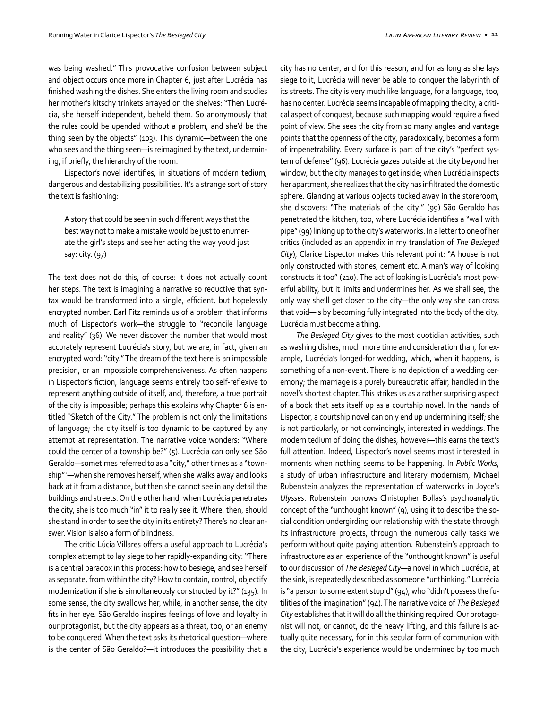was being washed." This provocative confusion between subject and object occurs once more in Chapter 6, just after Lucrécia has finished washing the dishes. She enters the living room and studies her mother's kitschy trinkets arrayed on the shelves: "Then Lucrécia, she herself independent, beheld them. So anonymously that the rules could be upended without a problem, and she'd be the thing seen by the objects" (103). This dynamic—between the one who sees and the thing seen—is reimagined by the text, undermining, if briefly, the hierarchy of the room.

Lispector's novel identifies, in situations of modern tedium, dangerous and destabilizing possibilities. It's a strange sort of story the text is fashioning:

A story that could be seen in such different ways that the best way not to make a mistake would be just to enumerate the girl's steps and see her acting the way you'd just say: city. (97)

The text does not do this, of course: it does not actually count her steps. The text is imagining a narrative so reductive that syntax would be transformed into a single, efficient, but hopelessly encrypted number. Earl Fitz reminds us of a problem that informs much of Lispector's work—the struggle to "reconcile language and reality" (36). We never discover the number that would most accurately represent Lucrécia's story, but we are, in fact, given an encrypted word: "city." The dream of the text here is an impossible precision, or an impossible comprehensiveness. As often happens in Lispector's fiction, language seems entirely too self-reflexive to represent anything outside of itself, and, therefore, a true portrait of the city is impossible; perhaps this explains why Chapter 6 is entitled "Sketch of the City." The problem is not only the limitations of language; the city itself is too dynamic to be captured by any attempt at representation. The narrative voice wonders: "Where could the center of a township be?" (5). Lucrécia can only see São Geraldo—sometimes referred to as a "city," other times as a "township"2 —when she removes herself, when she walks away and looks back at it from a distance, but then she cannot see in any detail the buildings and streets. On the other hand, when Lucrécia penetrates the city, she is too much "in" it to really see it. Where, then, should she stand in order to see the city in its entirety? There's no clear answer. Vision is also a form of blindness.

The critic Lúcia Villares offers a useful approach to Lucrécia's complex attempt to lay siege to her rapidly-expanding city: "There is a central paradox in this process: how to besiege, and see herself as separate, from within the city? How to contain, control, objectify modernization if she is simultaneously constructed by it?" (135). In some sense, the city swallows her, while, in another sense, the city fits in her eye. São Geraldo inspires feelings of love and loyalty in our protagonist, but the city appears as a threat, too, or an enemy to be conquered. When the text asks its rhetorical question—where is the center of São Geraldo?—it introduces the possibility that a

city has no center, and for this reason, and for as long as she lays siege to it, Lucrécia will never be able to conquer the labyrinth of its streets. The city is very much like language, for a language, too, has no center. Lucrécia seems incapable of mapping the city, a critical aspect of conquest, because such mapping would require a fixed point of view. She sees the city from so many angles and vantage points that the openness of the city, paradoxically, becomes a form of impenetrability. Every surface is part of the city's "perfect system of defense" (96). Lucrécia gazes outside at the city beyond her window, but the city manages to get inside; when Lucrécia inspects her apartment, she realizes that the city has infiltrated the domestic sphere. Glancing at various objects tucked away in the storeroom, she discovers: "The materials of the city!" (99) São Geraldo has penetrated the kitchen, too, where Lucrécia identifies a "wall with pipe" (99) linking up to the city's waterworks. In a letter to one of her critics (included as an appendix in my translation of *The Besieged City*), Clarice Lispector makes this relevant point: "A house is not only constructed with stones, cement etc. A man's way of looking constructs it too" (210). The act of looking is Lucrécia's most powerful ability, but it limits and undermines her. As we shall see, the only way she'll get closer to the city—the only way she can cross that void—is by becoming fully integrated into the body of the city. Lucrécia must become a thing.

*The Besieged City* gives to the most quotidian activities, such as washing dishes, much more time and consideration than, for example, Lucrécia's longed-for wedding, which, when it happens, is something of a non-event. There is no depiction of a wedding ceremony; the marriage is a purely bureaucratic affair, handled in the novel's shortest chapter. This strikes us as a rather surprising aspect of a book that sets itself up as a courtship novel. In the hands of Lispector, a courtship novel can only end up undermining itself; she is not particularly, or not convincingly, interested in weddings. The modern tedium of doing the dishes, however—this earns the text's full attention. Indeed, Lispector's novel seems most interested in moments when nothing seems to be happening. In *Public Works*, a study of urban infrastructure and literary modernism, Michael Rubenstein analyzes the representation of waterworks in Joyce's *Ulysses*. Rubenstein borrows Christopher Bollas's psychoanalytic concept of the "unthought known" (9), using it to describe the social condition undergirding our relationship with the state through its infrastructure projects, through the numerous daily tasks we perform without quite paying attention. Rubenstein's approach to infrastructure as an experience of the "unthought known" is useful to our discussion of *The Besieged City*—a novel in which Lucrécia, at the sink, is repeatedly described as someone "unthinking." Lucrécia is "a person to some extent stupid" (94), who "didn't possess the futilities of the imagination" (94). The narrative voice of *The Besieged City* establishes that it will do all the thinking required. Our protagonist will not, or cannot, do the heavy lifting, and this failure is actually quite necessary, for in this secular form of communion with the city, Lucrécia's experience would be undermined by too much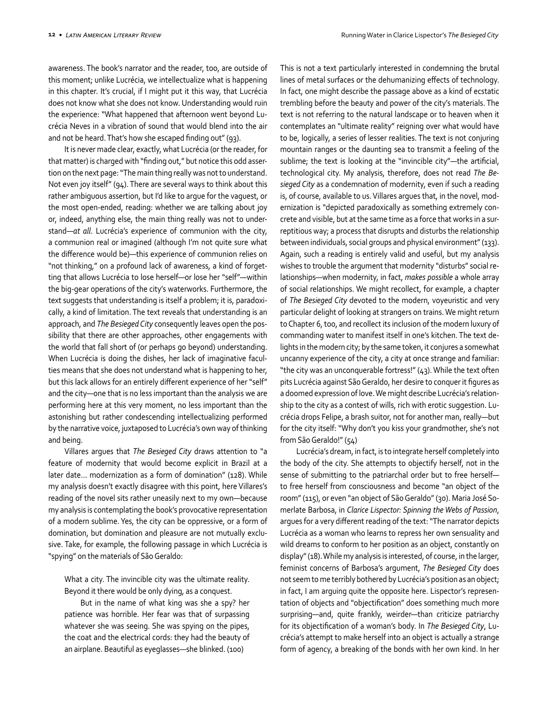awareness. The book's narrator and the reader, too, are outside of this moment; unlike Lucrécia, we intellectualize what is happening in this chapter. It's crucial, if I might put it this way, that Lucrécia does not know what she does not know. Understanding would ruin the experience: "What happened that afternoon went beyond Lucrécia Neves in a vibration of sound that would blend into the air and not be heard. That's how she escaped finding out" (93).

It is never made clear, exactly, what Lucrécia (or the reader, for that matter) is charged with "finding out," but notice this odd assertion on the next page: "The main thing really was not to understand. Not even joy itself" (94). There are several ways to think about this rather ambiguous assertion, but I'd like to argue for the vaguest, or the most open-ended, reading: whether we are talking about joy or, indeed, anything else, the main thing really was not to understand—*at all*. Lucrécia's experience of communion with the city, a communion real or imagined (although I'm not quite sure what the difference would be)—this experience of communion relies on "not thinking," on a profound lack of awareness, a kind of forgetting that allows Lucrécia to lose herself—or lose her "self"—within the big-gear operations of the city's waterworks. Furthermore, the text suggests that understanding is itself a problem; it is, paradoxically, a kind of limitation. The text reveals that understanding is an approach, and *The Besieged City* consequently leaves open the possibility that there are other approaches, other engagements with the world that fall short of (or perhaps go beyond) understanding. When Lucrécia is doing the dishes, her lack of imaginative faculties means that she does not understand what is happening to her, but this lack allows for an entirely different experience of her "self" and the city—one that is no less important than the analysis we are performing here at this very moment, no less important than the astonishing but rather condescending intellectualizing performed by the narrative voice, juxtaposed to Lucrécia's own way of thinking and being.

Villares argues that *The Besieged City* draws attention to "a feature of modernity that would become explicit in Brazil at a later date… modernization as a form of domination" (128). While my analysis doesn't exactly disagree with this point, here Villares's reading of the novel sits rather uneasily next to my own—because my analysis is contemplating the book's provocative representation of a modern sublime. Yes, the city can be oppressive, or a form of domination, but domination and pleasure are not mutually exclusive. Take, for example, the following passage in which Lucrécia is "spying" on the materials of São Geraldo:

What a city. The invincible city was the ultimate reality. Beyond it there would be only dying, as a conquest.

But in the name of what king was she a spy? her patience was horrible. Her fear was that of surpassing whatever she was seeing. She was spying on the pipes, the coat and the electrical cords: they had the beauty of an airplane. Beautiful as eyeglasses—she blinked. (100)

This is not a text particularly interested in condemning the brutal lines of metal surfaces or the dehumanizing effects of technology. In fact, one might describe the passage above as a kind of ecstatic trembling before the beauty and power of the city's materials. The text is not referring to the natural landscape or to heaven when it contemplates an "ultimate reality" reigning over what would have to be, logically, a series of lesser realities. The text is not conjuring mountain ranges or the daunting sea to transmit a feeling of the sublime; the text is looking at the "invincible city"—the artificial, technological city. My analysis, therefore, does not read *The Besieged City* as a condemnation of modernity, even if such a reading is, of course, available to us. Villares argues that, in the novel, modernization is "depicted paradoxically as something extremely concrete and visible, but at the same time as a force that works in a surreptitious way; a process that disrupts and disturbs the relationship between individuals, social groups and physical environment" (133). Again, such a reading is entirely valid and useful, but my analysis wishes to trouble the argument that modernity "disturbs" social relationships—when modernity, in fact, *makes possible* a whole array of social relationships. We might recollect, for example, a chapter of *The Besieged City* devoted to the modern, voyeuristic and very particular delight of looking at strangers on trains. We might return to Chapter 6, too, and recollect its inclusion of the modern luxury of commanding water to manifest itself in one's kitchen. The text delights in the modern city; by the same token, it conjures a somewhat uncanny experience of the city, a city at once strange and familiar: "the city was an unconquerable fortress!" (43). While the text often pits Lucrécia against São Geraldo, her desire to conquer it figures as a doomed expression of love. We might describe Lucrécia's relationship to the city as a contest of wills, rich with erotic suggestion. Lucrécia drops Felipe, a brash suitor, not for another man, really—but for the city itself: "Why don't you kiss your grandmother, she's not from São Geraldo!" (54)

Lucrécia's dream, in fact, is to integrate herself completely into the body of the city. She attempts to objectify herself, not in the sense of submitting to the patriarchal order but to free herself to free herself from consciousness and become "an object of the room" (115), or even "an object of São Geraldo" (30). Maria José Somerlate Barbosa, in *Clarice Lispector: Spinning the Webs of Passion*, argues for a very different reading of the text: "The narrator depicts Lucrécia as a woman who learns to repress her own sensuality and wild dreams to conform to her position as an object, constantly on display" (18). While my analysis is interested, of course, in the larger, feminist concerns of Barbosa's argument, *The Besieged City* does not seem to me terribly bothered by Lucrécia's position as an object; in fact, I am arguing quite the opposite here. Lispector's representation of objects and "objectification" does something much more surprising—and, quite frankly, weirder—than criticize patriarchy for its objectification of a woman's body. In *The Besieged City*, Lucrécia's attempt to make herself into an object is actually a strange form of agency, a breaking of the bonds with her own kind. In her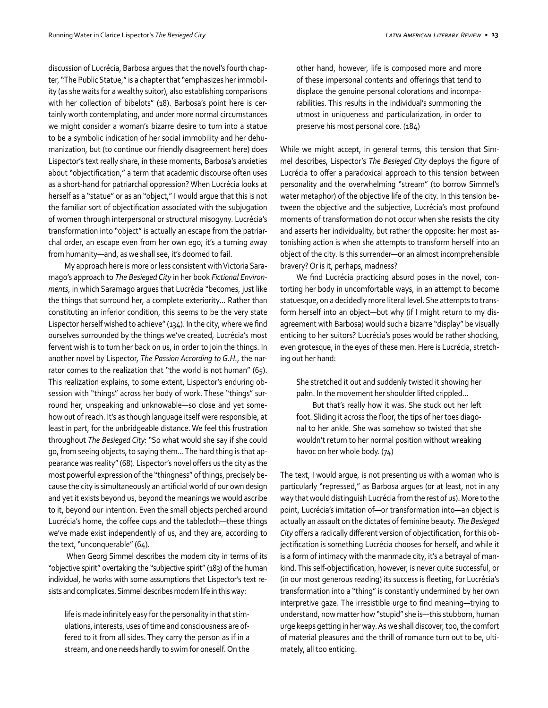discussion of Lucrécia, Barbosa argues that the novel's fourth chapter, "The Public Statue," is a chapter that "emphasizes her immobility (as she waits for a wealthy suitor), also establishing comparisons with her collection of bibelots" (18). Barbosa's point here is certainly worth contemplating, and under more normal circumstances we might consider a woman's bizarre desire to turn into a statue to be a symbolic indication of her social immobility and her dehumanization, but (to continue our friendly disagreement here) does Lispector's text really share, in these moments, Barbosa's anxieties about "objectification," a term that academic discourse often uses as a short-hand for patriarchal oppression? When Lucrécia looks at herself as a "statue" or as an "object," I would argue that this is not the familiar sort of objectification associated with the subjugation of women through interpersonal or structural misogyny. Lucrécia's transformation into "object" is actually an escape from the patriarchal order, an escape even from her own ego; it's a turning away from humanity—and, as we shall see, it's doomed to fail.

My approach here is more or less consistent with Victoria Saramago's approach to *The Besieged City* in her book *Fictional Environments*, in which Saramago argues that Lucrécia "becomes, just like the things that surround her, a complete exteriority... Rather than constituting an inferior condition, this seems to be the very state Lispector herself wished to achieve" (134). In the city, where we find ourselves surrounded by the things we've created, Lucrécia's most fervent wish is to turn her back on us, in order to join the things. In another novel by Lispector, *The Passion According to G.H.*, the narrator comes to the realization that "the world is not human" (65). This realization explains, to some extent, Lispector's enduring obsession with "things" across her body of work. These "things" surround her, unspeaking and unknowable—so close and yet somehow out of reach. It's as though language itself were responsible, at least in part, for the unbridgeable distance. We feel this frustration throughout *The Besieged City*: "So what would she say if she could go, from seeing objects, to saying them... The hard thing is that appearance was reality" (68). Lispector's novel offers us the city as the most powerful expression of the "thingness" of things, precisely because the city is simultaneously an artificial world of our own design and yet it exists beyond us, beyond the meanings we would ascribe to it, beyond our intention. Even the small objects perched around Lucrécia's home, the coffee cups and the tablecloth—these things we've made exist independently of us, and they are, according to the text, "unconquerable" (64).

 When Georg Simmel describes the modern city in terms of its "objective spirit" overtaking the "subjective spirit" (183) of the human individual, he works with some assumptions that Lispector's text resists and complicates. Simmel describes modern life in this way:

life is made infinitely easy for the personality in that stimulations, interests, uses of time and consciousness are offered to it from all sides. They carry the person as if in a stream, and one needs hardly to swim for oneself. On the other hand, however, life is composed more and more of these impersonal contents and offerings that tend to displace the genuine personal colorations and incomparabilities. This results in the individual's summoning the utmost in uniqueness and particularization, in order to preserve his most personal core. (184)

While we might accept, in general terms, this tension that Simmel describes, Lispector's *The Besieged City* deploys the figure of Lucrécia to offer a paradoxical approach to this tension between personality and the overwhelming "stream" (to borrow Simmel's water metaphor) of the objective life of the city. In this tension between the objective and the subjective, Lucrécia's most profound moments of transformation do not occur when she resists the city and asserts her individuality, but rather the opposite: her most astonishing action is when she attempts to transform herself into an object of the city. Is this surrender—or an almost incomprehensible bravery? Or is it, perhaps, madness?

We find Lucrécia practicing absurd poses in the novel, contorting her body in uncomfortable ways, in an attempt to become statuesque, on a decidedly more literal level. She attempts to transform herself into an object—but why (if I might return to my disagreement with Barbosa) would such a bizarre "display" be visually enticing to her suitors? Lucrécia's poses would be rather shocking, even grotesque, in the eyes of these men. Here is Lucrécia, stretching out her hand:

She stretched it out and suddenly twisted it showing her palm. In the movement her shoulder lifted crippled...

But that's really how it was. She stuck out her left foot. Sliding it across the floor, the tips of her toes diagonal to her ankle. She was somehow so twisted that she wouldn't return to her normal position without wreaking havoc on her whole body. (74)

The text, I would argue, is not presenting us with a woman who is particularly "repressed," as Barbosa argues (or at least, not in any way that would distinguish Lucrécia from the rest of us). More to the point, Lucrécia's imitation of—or transformation into—an object is actually an assault on the dictates of feminine beauty. *The Besieged City* offers a radically different version of objectification, for this objectification is something Lucrécia chooses for herself, and while it is a form of intimacy with the manmade city, it's a betrayal of mankind. This self-objectification, however, is never quite successful, or (in our most generous reading) its success is fleeting, for Lucrécia's transformation into a "thing" is constantly undermined by her own interpretive gaze. The irresistible urge to find meaning—trying to understand, now matter how "stupid" she is—this stubborn, human urge keeps getting in her way. As we shall discover, too, the comfort of material pleasures and the thrill of romance turn out to be, ultimately, all too enticing.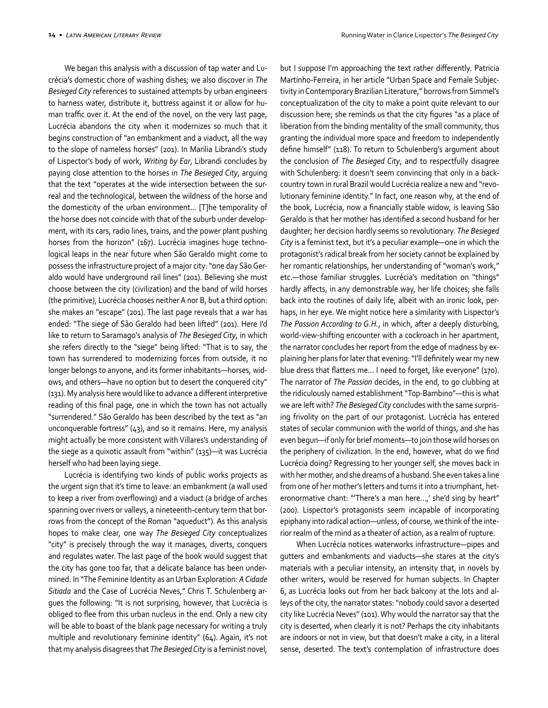We began this analysis with a discussion of tap water and Lucrécia's domestic chore of washing dishes; we also discover in *The Besieged City* references to sustained attempts by urban engineers to harness water, distribute it, buttress against it or allow for human traffic over it. At the end of the novel, on the very last page, Lucrécia abandons the city when it modernizes so much that it begins construction of "an embankment and a viaduct, all the way to the slope of nameless horses" (201). In Marilia Librandi's study of Lispector's body of work, *Writing by Ear*, Librandi concludes by paying close attention to the horses in *The Besieged City*, arguing that the text "operates at the wide intersection between the surreal and the technological, between the wildness of the horse and the domesticity of the urban environment... [T]he temporality of the horse does not coincide with that of the suburb under development, with its cars, radio lines, trains, and the power plant pushing horses from the horizon" (167). Lucrécia imagines huge technological leaps in the near future when São Geraldo might come to possess the infrastructure project of a major city: "one day São Geraldo would have underground rail lines" (201). Believing she must choose between the city (civilization) and the band of wild horses (the primitive), Lucrécia chooses neither A nor B, but a third option: she makes an "escape" (201). The last page reveals that a war has ended: "The siege of São Geraldo had been lifted" (201). Here I'd like to return to Saramago's analysis of *The Besieged City*, in which she refers directly to the "siege" being lifted: "That is to say, the town has surrendered to modernizing forces from outside, it no longer belongs to anyone, and its former inhabitants—horses, widows, and others—have no option but to desert the conquered city" (131). My analysis here would like to advance a different interpretive reading of this final page, one in which the town has not actually "surrendered." São Geraldo has been described by the text as "an unconquerable fortress" (43), and so it remains. Here, my analysis might actually be more consistent with Villares's understanding of the siege as a quixotic assault from "within" (135)—it was Lucrécia herself who had been laying siege.

Lucrécia is identifying two kinds of public works projects as the urgent sign that it's time to leave: an embankment (a wall used to keep a river from overflowing) and a viaduct (a bridge of arches spanning over rivers or valleys, a nineteenth-century term that borrows from the concept of the Roman "aqueduct"). As this analysis hopes to make clear, one way *The Besieged City* conceptualizes "city" is precisely through the way it manages, diverts, conquers and regulates water. The last page of the book would suggest that the city has gone too far, that a delicate balance has been undermined. In "The Feminine Identity as an Urban Exploration: *A Cidade Sitiada* and the Case of Lucrécia Neves," Chris T. Schulenberg argues the following: "It is not surprising, however, that Lucrécia is obliged to flee from this urban nucleus in the end. Only a new city will be able to boast of the blank page necessary for writing a truly multiple and revolutionary feminine identity" (64). Again, it's not that my analysis disagrees that *The Besieged City* is a feminist novel,

but I suppose I'm approaching the text rather differently. Patricia Martinho-Ferreira, in her article "Urban Space and Female Subjectivity in Contemporary Brazilian Literature," borrows from Simmel's conceptualization of the city to make a point quite relevant to our discussion here; she reminds us that the city figures "as a place of liberation from the binding mentality of the small community, thus granting the individual more space and freedom to independently define himself" (118). To return to Schulenberg's argument about the conclusion of *The Besieged City*, and to respectfully disagree with Schulenberg: it doesn't seem convincing that only in a backcountry town in rural Brazil would Lucrécia realize a new and "revolutionary feminine identity." In fact, one reason why, at the end of the book, Lucrécia, now a financially stable widow, is leaving São Geraldo is that her mother has identified a second husband for her daughter; her decision hardly seems so revolutionary. *The Besieged City* is a feminist text, but it's a peculiar example—one in which the protagonist's radical break from her society cannot be explained by her romantic relationships, her understanding of "woman's work," etc.—those familiar struggles. Lucrécia's meditation on "things" hardly affects, in any demonstrable way, her life choices; she falls back into the routines of daily life, albeit with an ironic look, perhaps, in her eye. We might notice here a similarity with Lispector's *The Passion According to G.H.*, in which, after a deeply disturbing, world-view-shifting encounter with a cockroach in her apartment, the narrator concludes her report from the edge of madness by explaining her plans for later that evening: "I'll definitely wear my new blue dress that flatters me... I need to forget, like everyone" (170). The narrator of *The Passion* decides, in the end, to go clubbing at the ridiculously named establishment "Top-Bambino"—this is what we are left with? *The Besieged City* concludes with the same surprising frivolity on the part of our protagonist. Lucrécia has entered states of secular communion with the world of things, and she has even begun—if only for brief moments—to join those wild horses on the periphery of civilization. In the end, however, what do we find Lucrécia doing? Regressing to her younger self, she moves back in with her mother, and she dreams of a husband. She even takes a line from one of her mother's letters and turns it into a triumphant, heteronormative chant: "'There's a man here...,' she'd sing by heart" (200). Lispector's protagonists seem incapable of incorporating epiphany into radical action—unless, of course, we think of the interior realm of the mind as a theater of action, as a realm of rupture.

When Lucrécia notices waterworks infrastructure—pipes and gutters and embankments and viaducts—she stares at the city's materials with a peculiar intensity, an intensity that, in novels by other writers, would be reserved for human subjects. In Chapter 6, as Lucrécia looks out from her back balcony at the lots and alleys of the city, the narrator states: "nobody could savor a deserted city like Lucrécia Neves" (101). Why would the narrator say that the city is deserted, when clearly it is not? Perhaps the city inhabitants are indoors or not in view, but that doesn't make a city, in a literal sense, deserted. The text's contemplation of infrastructure does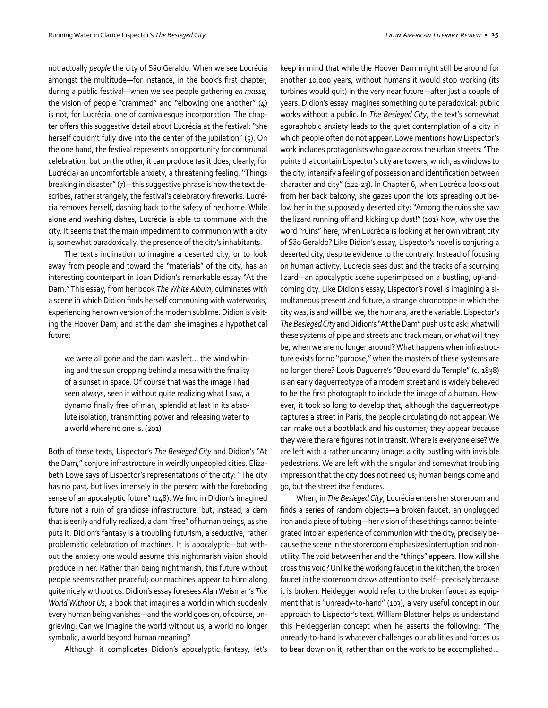not actually *people* the city of São Geraldo. When we see Lucrécia amongst the multitude—for instance, in the book's first chapter, during a public festival—when we see people gathering *en masse*, the vision of people "crammed" and "elbowing one another" (4) is not, for Lucrécia, one of carnivalesque incorporation. The chapter offers this suggestive detail about Lucrécia at the festival: "she herself couldn't fully dive into the center of the jubilation" (5). On the one hand, the festival represents an opportunity for communal celebration, but on the other, it can produce (as it does, clearly, for Lucrécia) an uncomfortable anxiety, a threatening feeling. "Things breaking in disaster" (7)—this suggestive phrase is how the text describes, rather strangely, the festival's celebratory fireworks. Lucrécia removes herself, dashing back to the safety of her home. While alone and washing dishes, Lucrécia is able to commune with the city. It seems that the main impediment to communion with a city is, somewhat paradoxically, the presence of the city's inhabitants.

The text's inclination to imagine a deserted city, or to look away from people and toward the "materials" of the city, has an interesting counterpart in Joan Didion's remarkable essay "At the Dam." This essay, from her book *The White Album*, culminates with a scene in which Didion finds herself communing with waterworks, experiencing her own version of the modern sublime. Didion is visiting the Hoover Dam, and at the dam she imagines a hypothetical future:

we were all gone and the dam was left... the wind whining and the sun dropping behind a mesa with the finality of a sunset in space. Of course that was the image I had seen always, seen it without quite realizing what I saw, a dynamo finally free of man, splendid at last in its absolute isolation, transmitting power and releasing water to a world where no one is. (201)

Both of these texts, Lispector's *The Besieged City* and Didion's "At the Dam," conjure infrastructure in weirdly unpeopled cities. Elizabeth Lowe says of Lispector's representations of the city: "The city has no past, but lives intensely in the present with the foreboding sense of an apocalyptic future" (148). We find in Didion's imagined future not a ruin of grandiose infrastructure, but, instead, a dam that is eerily and fully realized, a dam "free" of human beings, as she puts it. Didion's fantasy is a troubling futurism, a seductive, rather problematic celebration of machines. It is apocalyptic—but without the anxiety one would assume this nightmarish vision should produce in her. Rather than being nightmarish, this future without people seems rather peaceful; our machines appear to hum along quite nicely without us. Didion's essay foresees Alan Weisman's *The World Without Us*, a book that imagines a world in which suddenly every human being vanishes—and the world goes on, of course, ungrieving. Can we imagine the world without us, a world no longer symbolic, a world beyond human meaning?

Although it complicates Didion's apocalyptic fantasy, let's

keep in mind that while the Hoover Dam might still be around for another 10,000 years, without humans it would stop working (its turbines would quit) in the very near future—after just a couple of years. Didion's essay imagines something quite paradoxical: public works without a public. In *The Besieged City*, the text's somewhat agoraphobic anxiety leads to the quiet contemplation of a city in which people often do not appear. Lowe mentions how Lispector's work includes protagonists who gaze across the urban streets: "The points that contain Lispector's city are towers, which, as windows to the city, intensify a feeling of possession and identification between character and city" (122-23). In Chapter 6, when Lucrécia looks out from her back balcony, she gazes upon the lots spreading out below her in the supposedly deserted city: "Among the ruins she saw the lizard running off and kicking up dust!" (101) Now, why use the word "ruins" here, when Lucrécia is looking at her own vibrant city of São Geraldo? Like Didion's essay, Lispector's novel is conjuring a deserted city, despite evidence to the contrary. Instead of focusing on human activity, Lucrécia sees dust and the tracks of a scurrying lizard—an apocalyptic scene superimposed on a bustling, up-andcoming city. Like Didion's essay, Lispector's novel is imagining a simultaneous present and future, a strange chronotope in which the city was, is and will be: we, the humans, are the variable. Lispector's *The Besieged City* and Didion's "At the Dam" push us to ask: what will these systems of pipe and streets and track mean, or what will they be, when we are no longer around? What happens when infrastructure exists for no "purpose," when the masters of these systems are no longer there? Louis Daguerre's "Boulevard du Temple" (c. 1838) is an early daguerreotype of a modern street and is widely believed to be the first photograph to include the image of a human. However, it took so long to develop that, although the daguerreotype captures a street in Paris, the people circulating do not appear. We can make out a bootblack and his customer; they appear because they were the rare figures not in transit. Where is everyone else? We are left with a rather uncanny image: a city bustling with invisible pedestrians. We are left with the singular and somewhat troubling impression that the city does not need us; human beings come and go, but the street itself endures.

When, in *The Besieged City*, Lucrécia enters her storeroom and finds a series of random objects—a broken faucet, an unplugged iron and a piece of tubing—her vision of these things cannot be integrated into an experience of communion with the city, precisely because the scene in the storeroom emphasizes interruption and nonutility. The void between her and the "things" appears. How will she cross this void? Unlike the working faucet in the kitchen, the broken faucet in the storeroom draws attention to itself—precisely because it is broken. Heidegger would refer to the broken faucet as equipment that is "unready-to-hand" (103), a very useful concept in our approach to Lispector's text. William Blattner helps us understand this Heideggerian concept when he asserts the following: "The unready-to-hand is whatever challenges our abilities and forces us to bear down on it, rather than on the work to be accomplished...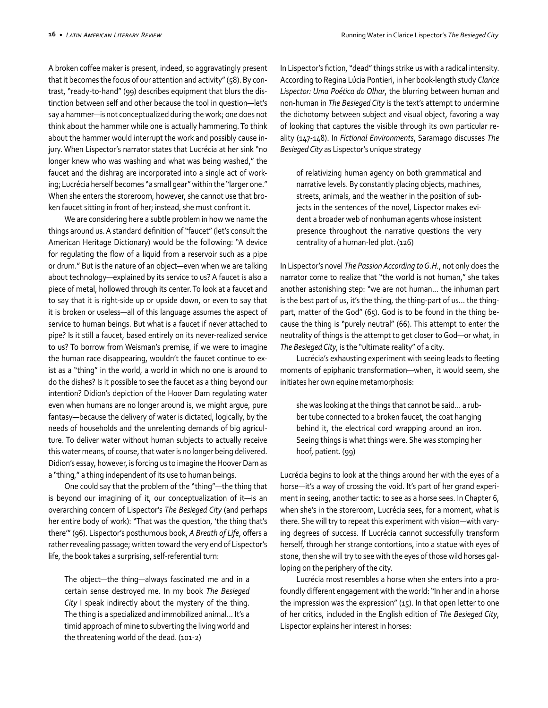A broken coffee maker is present, indeed, so aggravatingly present that it becomes the focus of our attention and activity" (58). By contrast, "ready-to-hand" (99) describes equipment that blurs the distinction between self and other because the tool in question—let's say a hammer—is not conceptualized during the work; one does not think about the hammer while one is actually hammering. To think about the hammer would interrupt the work and possibly cause injury. When Lispector's narrator states that Lucrécia at her sink "no longer knew who was washing and what was being washed," the faucet and the dishrag are incorporated into a single act of working; Lucrécia herself becomes "a small gear" within the "larger one." When she enters the storeroom, however, she cannot use that broken faucet sitting in front of her; instead, she must confront it.

We are considering here a subtle problem in how we name the things around us. A standard definition of "faucet" (let's consult the American Heritage Dictionary) would be the following: "A device for regulating the flow of a liquid from a reservoir such as a pipe or drum." But is the nature of an object—even when we are talking about technology—explained by its service to us? A faucet is also a piece of metal, hollowed through its center. To look at a faucet and to say that it is right-side up or upside down, or even to say that it is broken or useless—all of this language assumes the aspect of service to human beings. But what is a faucet if never attached to pipe? Is it still a faucet, based entirely on its never-realized service to us? To borrow from Weisman's premise, if we were to imagine the human race disappearing, wouldn't the faucet continue to exist as a "thing" in the world, a world in which no one is around to do the dishes? Is it possible to see the faucet as a thing beyond our intention? Didion's depiction of the Hoover Dam regulating water even when humans are no longer around is, we might argue, pure fantasy—because the delivery of water is dictated, logically, by the needs of households and the unrelenting demands of big agriculture. To deliver water without human subjects to actually receive this water means, of course, that water is no longer being delivered. Didion's essay, however, is forcing us to imagine the Hoover Dam as a "thing," a thing independent of its use to human beings.

One could say that the problem of the "thing"—the thing that is beyond our imagining of it, our conceptualization of it—is an overarching concern of Lispector's *The Besieged City* (and perhaps her entire body of work): "That was the question, 'the thing that's there'" (96). Lispector's posthumous book, *A Breath of Life*, offers a rather revealing passage; written toward the very end of Lispector's life, the book takes a surprising, self-referential turn:

The object—the thing—always fascinated me and in a certain sense destroyed me. In my book *The Besieged City* I speak indirectly about the mystery of the thing. The thing is a specialized and immobilized animal... It's a timid approach of mine to subverting the living world and the threatening world of the dead. (101-2)

In Lispector's fiction, "dead" things strike us with a radical intensity. According to Regina Lúcia Pontieri, in her book-length study *Clarice Lispector: Uma Poética do Olhar*, the blurring between human and non-human in *The Besieged City* is the text's attempt to undermine the dichotomy between subject and visual object, favoring a way of looking that captures the visible through its own particular reality (147-148). In *Fictional Environments*, Saramago discusses *The Besieged City* as Lispector's unique strategy

of relativizing human agency on both grammatical and narrative levels. By constantly placing objects, machines, streets, animals, and the weather in the position of subjects in the sentences of the novel, Lispector makes evident a broader web of nonhuman agents whose insistent presence throughout the narrative questions the very centrality of a human-led plot. (126)

In Lispector's novel *The Passion According to G.H.*, not only does the narrator come to realize that "the world is not human," she takes another astonishing step: "we are not human... the inhuman part is the best part of us, it's the thing, the thing-part of us... the thingpart, matter of the God" (65). God is to be found in the thing because the thing is "purely neutral" (66). This attempt to enter the neutrality of things is the attempt to get closer to God—or what, in *The Besieged City*, is the "ultimate reality" of a city.

Lucrécia's exhausting experiment with seeing leads to fleeting moments of epiphanic transformation—when, it would seem, she initiates her own equine metamorphosis:

she was looking at the things that cannot be said... a rubber tube connected to a broken faucet, the coat hanging behind it, the electrical cord wrapping around an iron. Seeing things is what things were. She was stomping her hoof, patient. (99)

Lucrécia begins to look at the things around her with the eyes of a horse—it's a way of crossing the void. It's part of her grand experiment in seeing, another tactic: to see as a horse sees. In Chapter 6, when she's in the storeroom, Lucrécia sees, for a moment, what is there. She will try to repeat this experiment with vision—with varying degrees of success. If Lucrécia cannot successfully transform herself, through her strange contortions, into a statue with eyes of stone, then she will try to see with the eyes of those wild horses galloping on the periphery of the city.

Lucrécia most resembles a horse when she enters into a profoundly different engagement with the world: "In her and in a horse the impression was the expression" (15). In that open letter to one of her critics, included in the English edition of *The Besieged City*, Lispector explains her interest in horses: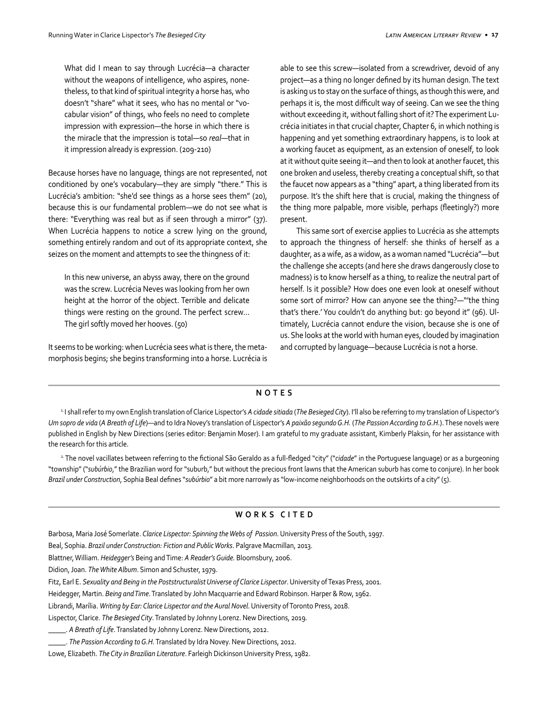What did I mean to say through Lucrécia—a character without the weapons of intelligence, who aspires, nonetheless, to that kind of spiritual integrity a horse has, who doesn't "share" what it sees, who has no mental or "vocabular vision" of things, who feels no need to complete impression with expression—the horse in which there is the miracle that the impression is total—so *real*—that in it impression already is expression. (209-210)

Because horses have no language, things are not represented, not conditioned by one's vocabulary—they are simply "there." This is Lucrécia's ambition: "she'd see things as a horse sees them" (20), because this is our fundamental problem—we do not see what is there: "Everything was real but as if seen through a mirror" (37). When Lucrécia happens to notice a screw lying on the ground, something entirely random and out of its appropriate context, she seizes on the moment and attempts to see the thingness of it:

In this new universe, an abyss away, there on the ground was the screw. Lucrécia Neves was looking from her own height at the horror of the object. Terrible and delicate things were resting on the ground. The perfect screw... The girl softly moved her hooves. (50)

It seems to be working: when Lucrécia sees what is there, the metamorphosis begins; she begins transforming into a horse. Lucrécia is able to see this screw—isolated from a screwdriver, devoid of any project—as a thing no longer defined by its human design. The text is asking us to stay on the surface of things, as though this were, and perhaps it is, the most difficult way of seeing. Can we see the thing without exceeding it, without falling short of it? The experiment Lucrécia initiates in that crucial chapter, Chapter 6, in which nothing is happening and yet something extraordinary happens, is to look at a working faucet as equipment, as an extension of oneself, to look at it without quite seeing it—and then to look at another faucet, this one broken and useless, thereby creating a conceptual shift, so that the faucet now appears as a "thing" apart, a thing liberated from its purpose. It's the shift here that is crucial, making the thingness of the thing more palpable, more visible, perhaps (fleetingly?) more present.

This same sort of exercise applies to Lucrécia as she attempts to approach the thingness of herself: she thinks of herself as a daughter, as a wife, as a widow, as a woman named "Lucrécia"—but the challenge she accepts (and here she draws dangerously close to madness) is to know herself as a thing, to realize the neutral part of herself. Is it possible? How does one even look at oneself without some sort of mirror? How can anyone see the thing?—"'the thing that's there.' You couldn't do anything but: go beyond it" (96). Ultimately, Lucrécia cannot endure the vision, because she is one of us. She looks at the world with human eyes, clouded by imagination and corrupted by language—because Lucrécia is not a horse.

## **NOTES**

<sup>1</sup> I shall refer to my own English translation of Clarice Lispector's A cidade sitiada (The Besieged City). I'll also be referring to my translation of Lispector's *Um sopro de vida* (*A Breath of Life*)—and to Idra Novey's translation of Lispector's *A paixão segundo G.H.* (*The Passion According to G.H.*). These novels were published in English by New Directions (series editor: Benjamin Moser). I am grateful to my graduate assistant, Kimberly Plaksin, for her assistance with the research for this article.

2. The novel vacillates between referring to the fictional São Geraldo as a full-fledged "city" ("*cidade*" in the Portuguese language) or as a burgeoning "township" ("*subúrbio*," the Brazilian word for "suburb," but without the precious front lawns that the American suburb has come to conjure). In her book *Brazil under Construction*, Sophia Beal defines "*subúrbio*" a bit more narrowly as "low-income neighborhoods on the outskirts of a city" (5).

## **WORKS CITED**

Barbosa, Maria José Somerlate. *Clarice Lispector: Spinning the Webs of Passion*. University Press of the South, 1997.

Beal, Sophia. *Brazil under Construction: Fiction and Public Works*. Palgrave Macmillan, 2013.

Blattner, William. *Heidegger's* Being and Time: *A Reader's Guide.* Bloomsbury, 2006.

Didion, Joan. *The White Album*. Simon and Schuster, 1979.

Fitz, Earl E. *Sexuality and Being in the Poststructuralist Universe of Clarice Lispector*. University of Texas Press, 2001.

Heidegger, Martin. *Being and Time*. Translated by John Macquarrie and Edward Robinson. Harper & Row, 1962.

Librandi, Marília. *Writing by Ear: Clarice Lispector and the Aural Novel*. University of Toronto Press, 2018.

Lispector, Clarice. *The Besieged City*. Translated by Johnny Lorenz. New Directions, 2019.

\_\_\_\_\_. *A Breath of Life*. Translated by Johnny Lorenz. New Directions, 2012.

\_\_\_\_\_. *The Passion According to G.H.* Translated by Idra Novey. New Directions, 2012.

Lowe, Elizabeth. *The City in Brazilian Literature*. Farleigh Dickinson University Press, 1982.